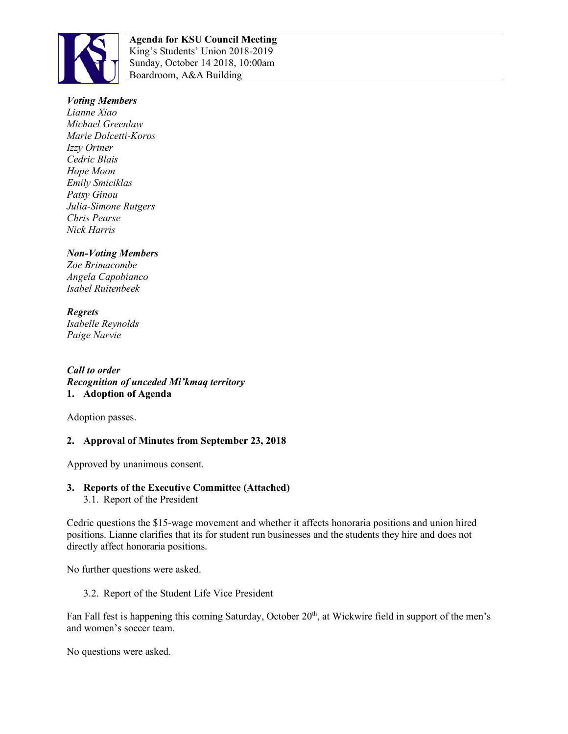

**Agenda for KSU Council Meeting**  King's Students' Union 2018-2019 Sunday, October 14 2018, 10:00am Boardroom, A&A Building

### *Voting Members*

*Lianne Xiao Michael Greenlaw Marie Dolcetti-Koros Izzy Ortner Cedric Blais Hope Moon Emily Smiciklas Patsy Ginou Julia-Simone Rutgers Chris Pearse Nick Harris*

### *Non-Voting Members*

*Zoe Brimacombe Angela Capobianco Isabel Ruitenbeek*

*Regrets Isabelle Reynolds Paige Narvie*

*Call to order Recognition of unceded Mi'kmaq territory*  **1. Adoption of Agenda**

Adoption passes.

# **2. Approval of Minutes from September 23, 2018**

Approved by unanimous consent.

# **3. Reports of the Executive Committee (Attached)**

3.1. Report of the President

Cedric questions the \$15-wage movement and whether it affects honoraria positions and union hired positions. Lianne clarifies that its for student run businesses and the students they hire and does not directly affect honoraria positions.

No further questions were asked.

3.2. Report of the Student Life Vice President

Fan Fall fest is happening this coming Saturday, October 20<sup>th</sup>, at Wickwire field in support of the men's and women's soccer team.

No questions were asked.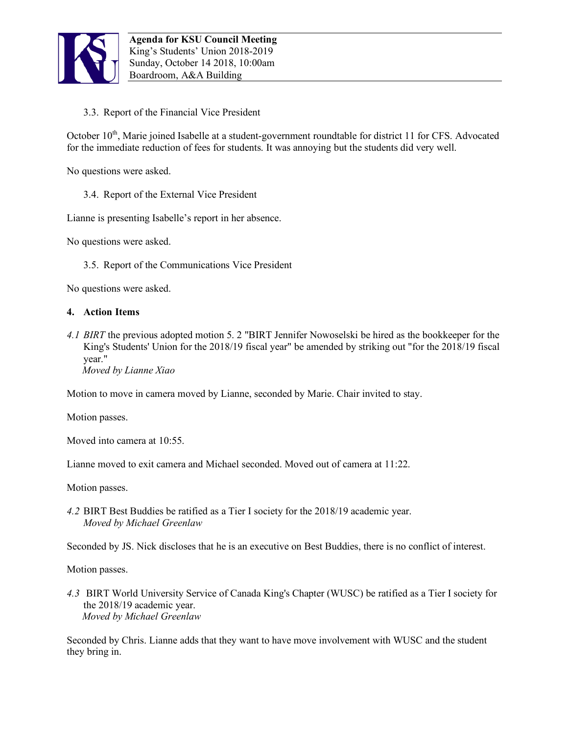

3.3. Report of the Financial Vice President

October 10<sup>th</sup>, Marie joined Isabelle at a student-government roundtable for district 11 for CFS. Advocated for the immediate reduction of fees for students. It was annoying but the students did very well.

No questions were asked.

3.4. Report of the External Vice President

Lianne is presenting Isabelle's report in her absence.

No questions were asked.

3.5. Report of the Communications Vice President

No questions were asked.

#### **4. Action Items**

*4.1 BIRT* the previous adopted motion 5. 2 "BIRT Jennifer Nowoselski be hired as the bookkeeper for the King's Students' Union for the 2018/19 fiscal year" be amended by striking out "for the 2018/19 fiscal year."

 *Moved by Lianne Xiao* 

Motion to move in camera moved by Lianne, seconded by Marie. Chair invited to stay.

Motion passes.

Moved into camera at 10:55

Lianne moved to exit camera and Michael seconded. Moved out of camera at 11:22.

Motion passes.

*4.2* BIRT Best Buddies be ratified as a Tier I society for the 2018/19 academic year. *Moved by Michael Greenlaw* 

Seconded by JS. Nick discloses that he is an executive on Best Buddies, there is no conflict of interest.

Motion passes.

*4.3* BIRT World University Service of Canada King's Chapter (WUSC) be ratified as a Tier I society for the 2018/19 academic year.  *Moved by Michael Greenlaw* 

Seconded by Chris. Lianne adds that they want to have move involvement with WUSC and the student they bring in.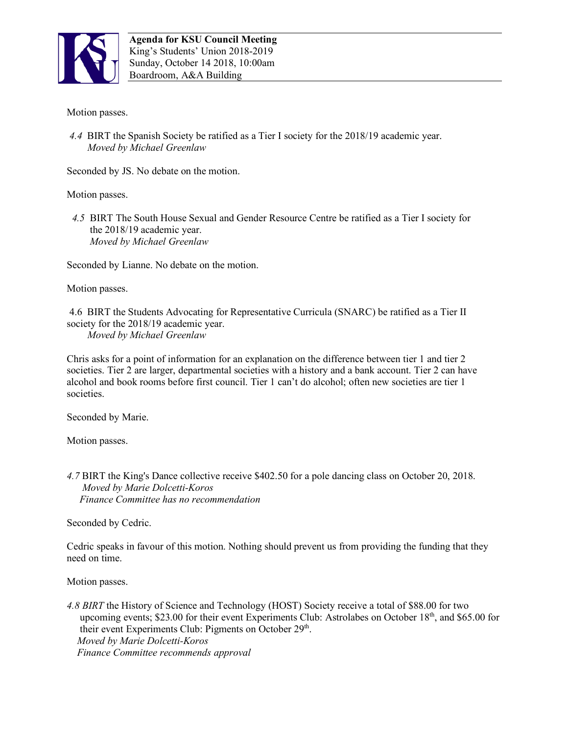

Motion passes.

*4.4* BIRT the Spanish Society be ratified as a Tier I society for the 2018/19 academic year. *Moved by Michael Greenlaw* 

Seconded by JS. No debate on the motion.

Motion passes.

 *4.5* BIRT The South House Sexual and Gender Resource Centre be ratified as a Tier I society for the 2018/19 academic year.  *Moved by Michael Greenlaw* 

Seconded by Lianne. No debate on the motion.

Motion passes.

4.6 BIRT the Students Advocating for Representative Curricula (SNARC) be ratified as a Tier II society for the 2018/19 academic year.

*Moved by Michael Greenlaw*

Chris asks for a point of information for an explanation on the difference between tier 1 and tier 2 societies. Tier 2 are larger, departmental societies with a history and a bank account. Tier 2 can have alcohol and book rooms before first council. Tier 1 can't do alcohol; often new societies are tier 1 societies.

Seconded by Marie.

Motion passes.

*4.7* BIRT the King's Dance collective receive \$402.50 for a pole dancing class on October 20, 2018.  *Moved by Marie Dolcetti-Koros Finance Committee has no recommendation*

Seconded by Cedric.

Cedric speaks in favour of this motion. Nothing should prevent us from providing the funding that they need on time.

Motion passes.

*4.8 BIRT* the History of Science and Technology (HOST) Society receive a total of \$88.00 for two upcoming events; \$23.00 for their event Experiments Club: Astrolabes on October 18<sup>th</sup>, and \$65.00 for their event Experiments Club: Pigments on October  $29<sup>th</sup>$ .  *Moved by Marie Dolcetti-Koros Finance Committee recommends approval*